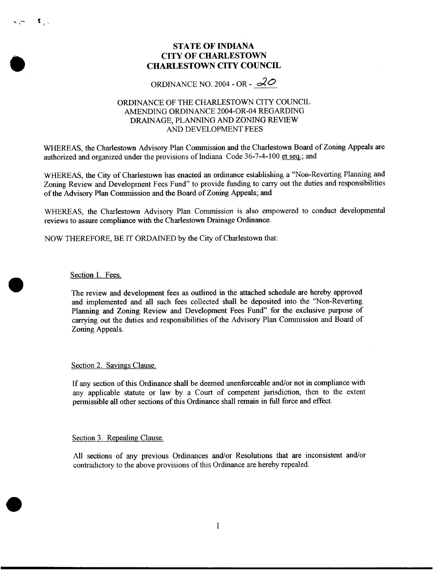## **STATE OF INDIANA CITY OF CHARLESTOWN CHARLESTOWN CITY COUNCIL**

ORDINANCE NO. 2004 - OR -  $2^{\circ}$ 

### ORDINANCE OF THE CHARLESTOWN CITY COUNCIL DRAINAGE, PLANNING AND ZONING REVIEW AND DEVELOPMENT FEES AMENDING ORDINANCE 2004-OR-04 REGARDING

WHEREAS, the Charlestown Advisory Plan Commission and the Charlestown Board of Zoning Appeals are authorized and organized under the provisions of Indiana Code 36-7-4-100 et seq.; and

WHEREAS, the City of Charlestown has enacted an ordinance establishing a "Non-Reverting Planning and Zoning Review and Development Fees Fund" to provide funding to carry out the duties and responsibilities of the Advisory Plan Commission and the Board of Zoning Appeals; and

WHEREAS, the Charlestown Advisory Plan Commission **is** also empowered to conduct developmental reviews to assure compliance with the Charlestown Drainage Ordinance.

NOW THEREFORE, BE IT ORDAINED by the City of Charlestown that:

Section 1. Fees.

رے ≹ اسے ہ

The review and development fees **as** outlined in the attached schedule are hereby approved and implemented and all such fees collected shall be deposited into the "Non-Reverting Planning and Zoning Review and Development Fees Fund" for the exclusive purpose of carrying out the duties and responsibilities of the Advisory Plan Commission and Board of Zoning Appeals.

Section 2. Savings Clause.

If any section of **this** Ordinance shall be deemed unenforceable and/or not in compliance with any applicable statute or law by a Court of competent jurisdiction, then to the extent permissible all other sections of this Ordinance shall remain in full force and effect.

Section 3. Repealing Clause.

All sections of any previous Ordinances and/or Resolutions that are inconsistent and/or contradictory to the above provisions of this Ordinance are hereby repealed.

1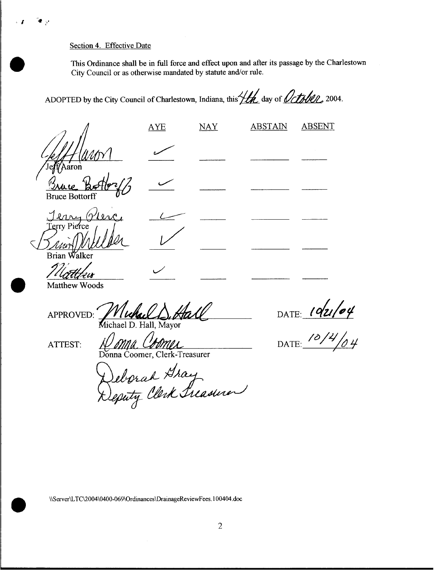### Section **4.** Effective Date

This Ordinance shall be in full force and effect **upon** and after its passage by the Charlestown City Council or as otherwise mandated by statute and/or rule.

AYE NAY ABSTAIN ABSENT

ADOPTED by the City Council of Charlestown, Indiana, this **Life day** of *Octphen*, 2004.

aron

**Bruce Bottor** 

Rrian alker

Matthew Woods

APPROVED: Michael D. Hall, Mayor

ATTEST: N/MMA CMMMA

a Coomer, Clerk-Treasurer

DATE:  $192/04$ 

**\\ServerLTC\2004\0400-069\0rdinances\DramageReviewFees100404.doc 1** 00404 **doc**